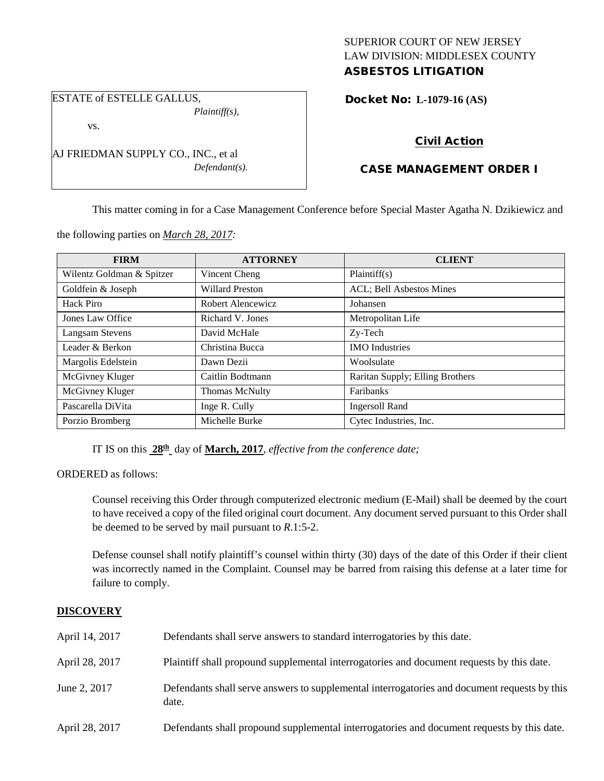### SUPERIOR COURT OF NEW JERSEY LAW DIVISION: MIDDLESEX COUNTY ASBESTOS LITIGATION

# ESTATE of ESTELLE GALLUS,

*Plaintiff(s),*

vs.

AJ FRIEDMAN SUPPLY CO., INC., et al *Defendant(s).*

### Docket No: **L-1079-16 (AS)**

# Civil Action

# CASE MANAGEMENT ORDER I

This matter coming in for a Case Management Conference before Special Master Agatha N. Dzikiewicz and

the following parties on *March 28, 2017:*

| <b>FIRM</b>               | <b>ATTORNEY</b>        | <b>CLIENT</b>                   |
|---------------------------|------------------------|---------------------------------|
| Wilentz Goldman & Spitzer | Vincent Cheng          | Plaintiff(s)                    |
| Goldfein & Joseph         | <b>Willard Preston</b> | ACL; Bell Asbestos Mines        |
| Hack Piro                 | Robert Alencewicz      | Johansen                        |
| Jones Law Office          | Richard V. Jones       | Metropolitan Life               |
| <b>Langsam Stevens</b>    | David McHale           | Zy-Tech                         |
| Leader & Berkon           | Christina Bucca        | <b>IMO</b> Industries           |
| Margolis Edelstein        | Dawn Dezii             | Woolsulate                      |
| McGivney Kluger           | Caitlin Bodtmann       | Raritan Supply; Elling Brothers |
| McGivney Kluger           | Thomas McNulty         | Faribanks                       |
| Pascarella DiVita         | Inge R. Cully          | <b>Ingersoll Rand</b>           |
| Porzio Bromberg           | Michelle Burke         | Cytec Industries, Inc.          |

IT IS on this **28th** day of **March, 2017**, *effective from the conference date;*

ORDERED as follows:

Counsel receiving this Order through computerized electronic medium (E-Mail) shall be deemed by the court to have received a copy of the filed original court document. Any document served pursuant to this Order shall be deemed to be served by mail pursuant to *R*.1:5-2.

Defense counsel shall notify plaintiff's counsel within thirty (30) days of the date of this Order if their client was incorrectly named in the Complaint. Counsel may be barred from raising this defense at a later time for failure to comply.

### **DISCOVERY**

| April 14, 2017 | Defendants shall serve answers to standard interrogatories by this date.                              |
|----------------|-------------------------------------------------------------------------------------------------------|
| April 28, 2017 | Plaintiff shall propound supplemental interrogatories and document requests by this date.             |
| June 2, 2017   | Defendants shall serve answers to supplemental interrogatories and document requests by this<br>date. |
| April 28, 2017 | Defendants shall propound supplemental interrogatories and document requests by this date.            |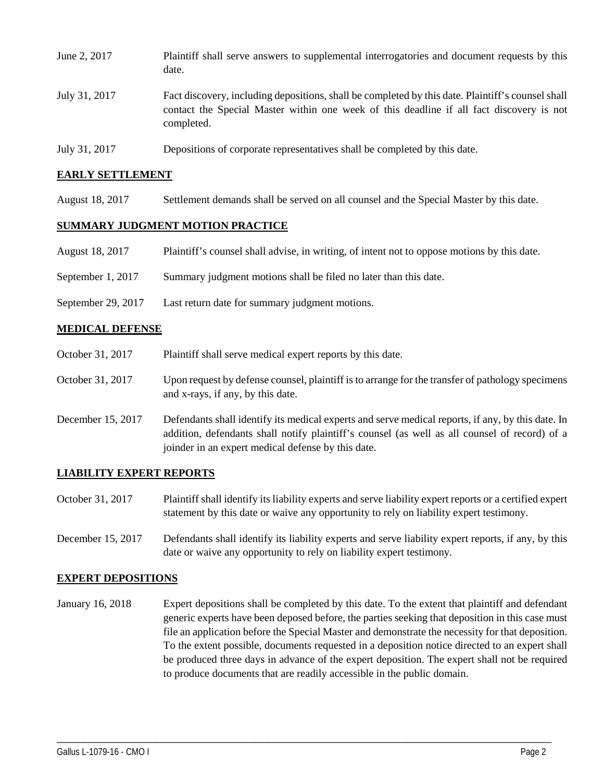| June 2, 2017  | Plaintiff shall serve answers to supplemental interrogatories and document requests by this<br>date.                                                                                                        |
|---------------|-------------------------------------------------------------------------------------------------------------------------------------------------------------------------------------------------------------|
| July 31, 2017 | Fact discovery, including depositions, shall be completed by this date. Plaintiff's counsel shall<br>contact the Special Master within one week of this deadline if all fact discovery is not<br>completed. |
| July 31, 2017 | Depositions of corporate representatives shall be completed by this date.                                                                                                                                   |

### **EARLY SETTLEMENT**

August 18, 2017 Settlement demands shall be served on all counsel and the Special Master by this date.

#### **SUMMARY JUDGMENT MOTION PRACTICE**

- August 18, 2017 Plaintiff's counsel shall advise, in writing, of intent not to oppose motions by this date.
- September 1, 2017 Summary judgment motions shall be filed no later than this date.
- September 29, 2017 Last return date for summary judgment motions.

### **MEDICAL DEFENSE**

- October 31, 2017 Plaintiff shall serve medical expert reports by this date.
- October 31, 2017 Upon request by defense counsel, plaintiff is to arrange for the transfer of pathology specimens and x-rays, if any, by this date.
- December 15, 2017 Defendants shall identify its medical experts and serve medical reports, if any, by this date. In addition, defendants shall notify plaintiff's counsel (as well as all counsel of record) of a joinder in an expert medical defense by this date.

#### **LIABILITY EXPERT REPORTS**

- October 31, 2017 Plaintiff shall identify its liability experts and serve liability expert reports or a certified expert statement by this date or waive any opportunity to rely on liability expert testimony.
- December 15, 2017 Defendants shall identify its liability experts and serve liability expert reports, if any, by this date or waive any opportunity to rely on liability expert testimony.

#### **EXPERT DEPOSITIONS**

January 16, 2018 Expert depositions shall be completed by this date. To the extent that plaintiff and defendant generic experts have been deposed before, the parties seeking that deposition in this case must file an application before the Special Master and demonstrate the necessity for that deposition. To the extent possible, documents requested in a deposition notice directed to an expert shall be produced three days in advance of the expert deposition. The expert shall not be required to produce documents that are readily accessible in the public domain.

\_\_\_\_\_\_\_\_\_\_\_\_\_\_\_\_\_\_\_\_\_\_\_\_\_\_\_\_\_\_\_\_\_\_\_\_\_\_\_\_\_\_\_\_\_\_\_\_\_\_\_\_\_\_\_\_\_\_\_\_\_\_\_\_\_\_\_\_\_\_\_\_\_\_\_\_\_\_\_\_\_\_\_\_\_\_\_\_\_\_\_\_\_\_\_\_\_\_\_\_\_\_\_\_\_\_\_\_\_\_